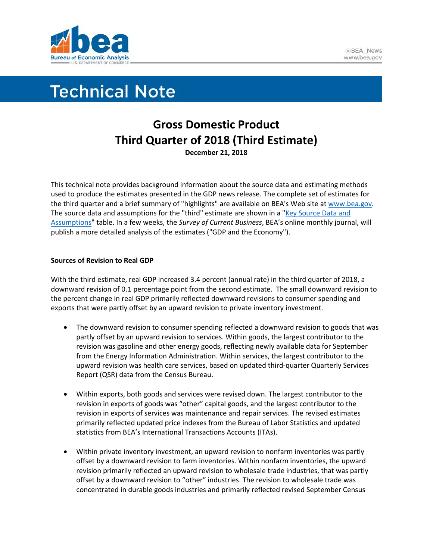

# **Technical Note**

# **Gross Domestic Product Third Quarter of 2018 (Third Estimate) December 21, 2018**

This technical note provides background information about the source data and estimating methods used to produce the estimates presented in the GDP news release. The complete set of estimates for the third quarter and a brief summary of "highlights" are available on BEA's Web site at [www.bea.gov.](http://www.bea.gov/) The source data and assumptions for the "third" estimate are shown in a "Key Source Data and [Assumptions"](https://www.bea.gov/system/files/2018-12/gdpkeysource_3q18_12-21-18.xlsx) table. In a few weeks, the *Survey of Current Business*, BEA's online monthly journal, will publish a more detailed analysis of the estimates ("GDP and the Economy").

## **Sources of Revision to Real GDP**

With the third estimate, real GDP increased 3.4 percent (annual rate) in the third quarter of 2018, a downward revision of 0.1 percentage point from the second estimate. The small downward revision to the percent change in real GDP primarily reflected downward revisions to consumer spending and exports that were partly offset by an upward revision to private inventory investment.

- The downward revision to consumer spending reflected a downward revision to goods that was partly offset by an upward revision to services. Within goods, the largest contributor to the revision was gasoline and other energy goods, reflecting newly available data for September from the Energy Information Administration. Within services, the largest contributor to the upward revision was health care services, based on updated third-quarter Quarterly Services Report (QSR) data from the Census Bureau.
- Within exports, both goods and services were revised down. The largest contributor to the revision in exports of goods was "other" capital goods, and the largest contributor to the revision in exports of services was maintenance and repair services. The revised estimates primarily reflected updated price indexes from the Bureau of Labor Statistics and updated statistics from BEA's International Transactions Accounts (ITAs).
- Within private inventory investment, an upward revision to nonfarm inventories was partly offset by a downward revision to farm inventories. Within nonfarm inventories, the upward revision primarily reflected an upward revision to wholesale trade industries, that was partly offset by a downward revision to "other" industries. The revision to wholesale trade was concentrated in durable goods industries and primarily reflected revised September Census